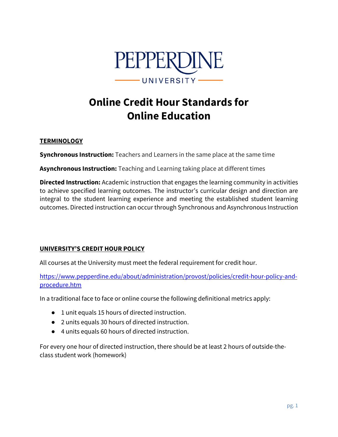

# **Online Credit Hour Standards for Online Education**

## **TERMINOLOGY**

**Synchronous Instruction:** Teachers and Learners in the same place at the same time

**Asynchronous Instruction:** Teaching and Learning taking place at different times

**Directed Instruction:** Academic instruction that engages the learning community in activities to achieve specified learning outcomes. The instructor's curricular design and direction are integral to the student learning experience and meeting the established student learning outcomes. Directed instruction can occur through Synchronous and Asynchronous Instruction

# **UNIVERSITY'S CREDIT HOUR POLICY**

All courses at the University must meet the federal requirement for credit hour.

<https://www.pepperdine.edu/about/administration/provost/policies/credit-hour-policy-and>procedure.htm

In a traditional face to face or online course the following definitional metrics apply:

- 1 unit equals 15 hours of directed instruction.
- 2 units equals 30 hours of directed instruction.
- 4 units equals 60 hours of directed instruction.

For every one hour of directed instruction, there should be at least 2 hours of outside-theclass student work (homework)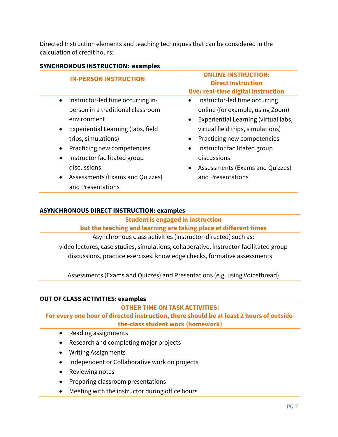Directed Instruction elements and teaching techniques that can be considered in the calculation of credit hours:

| <b>SYNCHRONOUS INSTRUCTION: examples</b> |  |
|------------------------------------------|--|
|------------------------------------------|--|

| <b>IN-PERSON INSTRUCTION</b>                                                                                                                                                                                                                                                                                                    | <b>ONLINE INSTRUCTION:</b><br><b>Direct Instruction</b><br>live/real-time digital instruction                                                                                                                                                                                                                                                         |
|---------------------------------------------------------------------------------------------------------------------------------------------------------------------------------------------------------------------------------------------------------------------------------------------------------------------------------|-------------------------------------------------------------------------------------------------------------------------------------------------------------------------------------------------------------------------------------------------------------------------------------------------------------------------------------------------------|
| Instructor-led time occurring in-<br>$\bullet$<br>person in a traditional classroom<br>environment<br>Experiential Learning (labs, field<br>$\bullet$<br>trips, simulations)<br>Practicing new competencies<br>Instructor facilitated group<br>discussions<br>Assessments (Exams and Quizzes)<br>$\bullet$<br>and Presentations | Instructor-led time occurring<br>$\bullet$<br>online (for example, using Zoom)<br>Experiential Learning (virtual labs,<br>$\bullet$<br>virtual field trips, simulations)<br>Practicing new competencies<br>$\bullet$<br>Instructor facilitated group<br>$\bullet$<br>discussions<br>Assessments (Exams and Quizzes)<br>$\bullet$<br>and Presentations |

## **ASYNCHRONOUS DIRECT INSTRUCTION: examples**

#### **Student is engaged in instruction**

## **but the teaching and learning are taking place at different times**

Asynchronous class activities (instructor-directed) such as: video lectures, case studies, simulations, collaborative, instructor-facilitated group discussions, practice exercises, knowledge checks, formative assessments

Assessments (Exams and Quizzes) and Presentations (e.g. using Voicethread)

# **OUT OF CLASS ACTIVITIES: examples**

# **OTHER TIME ON TASK ACTIVITIES:**

 **For every one hour of directed instruction, there should be at least 2 hours of outsidethe-class student work (homework)** 

- Reading assignments
- Research and completing major projects
- Writing Assignments
- Independent or Collaborative work on projects
- Reviewing notes
- Preparing classroom presentations
- Meeting with the instructor during office hours